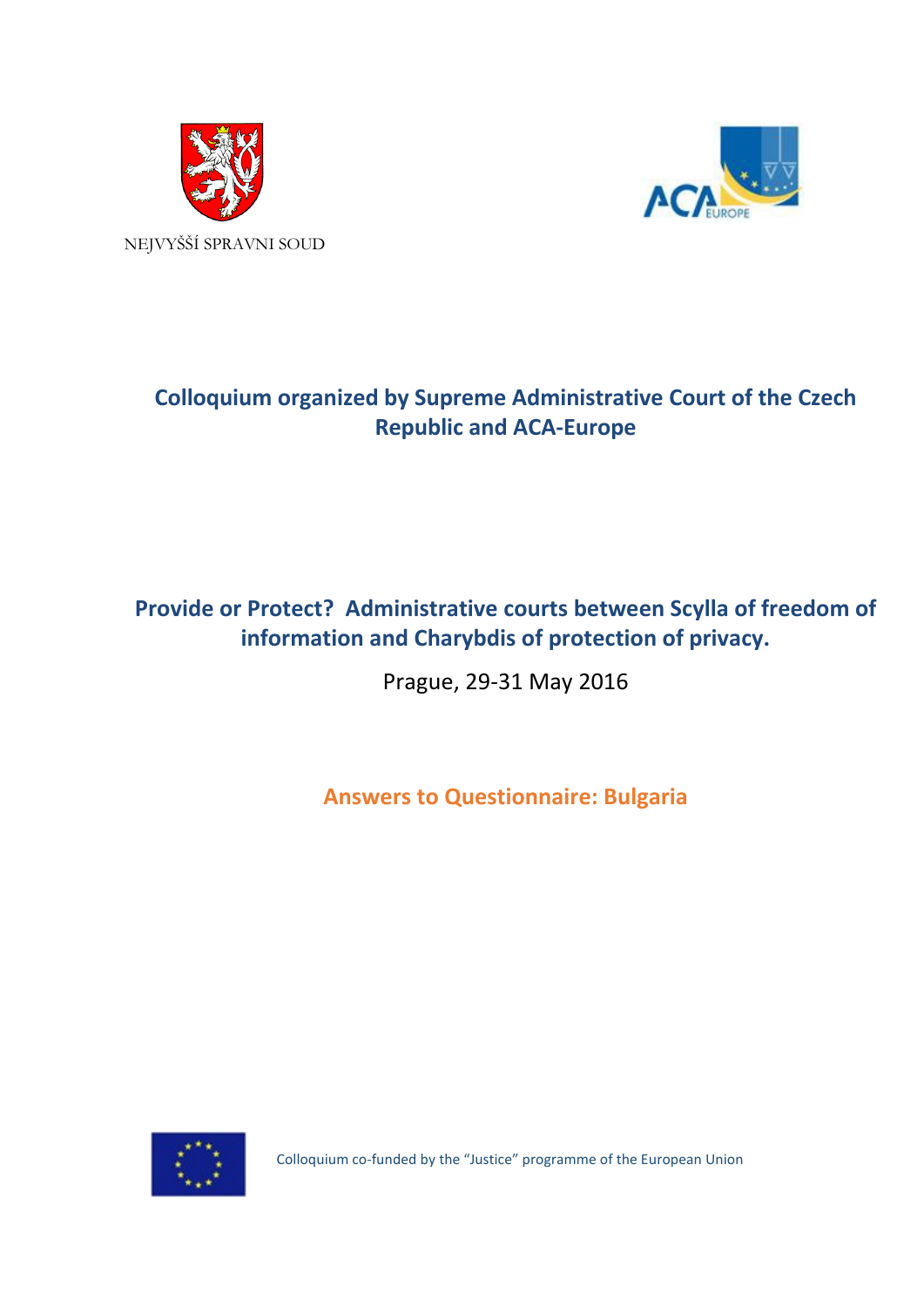



# **Colloquium organized by Supreme Administrative Court of the Czech Republic and ACA-Europe**

## **Provide or Protect? Administrative courts between Scylla of freedom of information and Charybdis of protection of privacy.**

Prague, 29-31 May 2016

**Answers to Questionnaire: Bulgaria**



Colloquium co-funded by the "Justice" programme of the European Union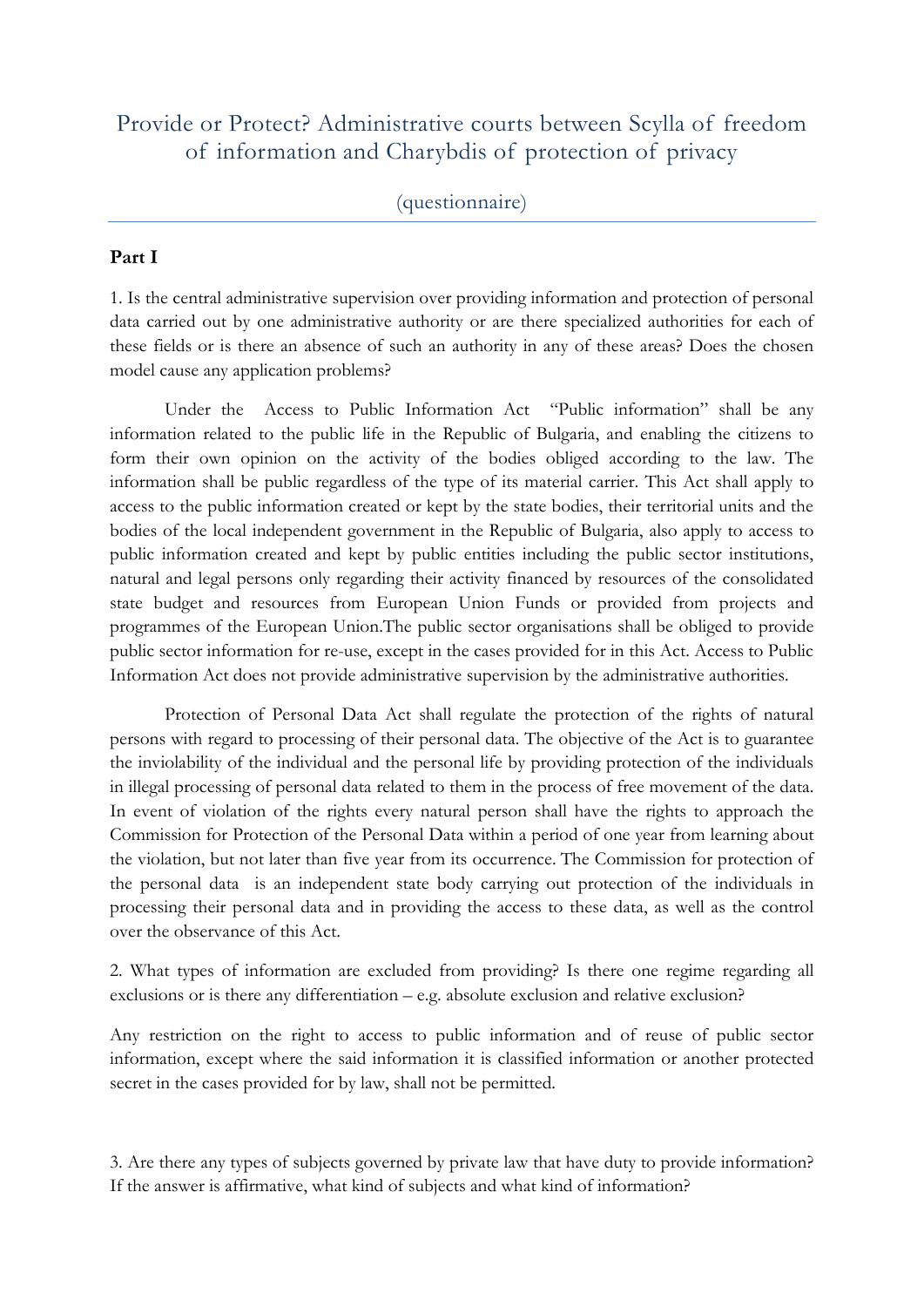## Provide or Protect? Administrative courts between Scylla of freedom of information and Charybdis of protection of privacy

### (questionnaire)

#### **Part I**

1. Is the central administrative supervision over providing information and protection of personal data carried out by one administrative authority or are there specialized authorities for each of these fields or is there an absence of such an authority in any of these areas? Does the chosen model cause any application problems?

Under the Access to Public Information Act "Public information" shall be any information related to the public life in the Republic of Bulgaria, and enabling the citizens to form their own opinion on the activity of the bodies obliged according to the law. The information shall be public regardless of the type of its material carrier. This Act shall apply to access to the public information created or kept by the state bodies, their territorial units and the bodies of the local independent government in the Republic of Bulgaria, also apply to access to public information created and kept by public entities including the public sector institutions, natural and legal persons only regarding their activity financed by resources of the consolidated state budget and resources from European Union Funds or provided from projects and programmes of the European Union.The public sector organisations shall be obliged to provide public sector information for re-use, except in the cases provided for in this Act. Access to Public Information Act does not provide administrative supervision by the administrative authorities.

Protection of Personal Data Act shall regulate the protection of the rights of natural persons with regard to processing of their personal data. The objective of the Act is to guarantee the inviolability of the individual and the personal life by providing protection of the individuals in illegal processing of personal data related to them in the process of free movement of the data. In event of violation of the rights every natural person shall have the rights to approach the Commission for Protection of the Personal Data within a period of one year from learning about the violation, but not later than five year from its occurrence. The Commission for protection of the personal data is an independent state body carrying out protection of the individuals in processing their personal data and in providing the access to these data, as well as the control over the observance of this Act.

2. What types of information are excluded from providing? Is there one regime regarding all exclusions or is there any differentiation – e.g. absolute exclusion and relative exclusion?

Any restriction on the right to access to public information and of reuse of public sector information, except where the said information it is classified information or another protected secret in the cases provided for by law, shall not be permitted.

3. Are there any types of subjects governed by private law that have duty to provide information? If the answer is affirmative, what kind of subjects and what kind of information?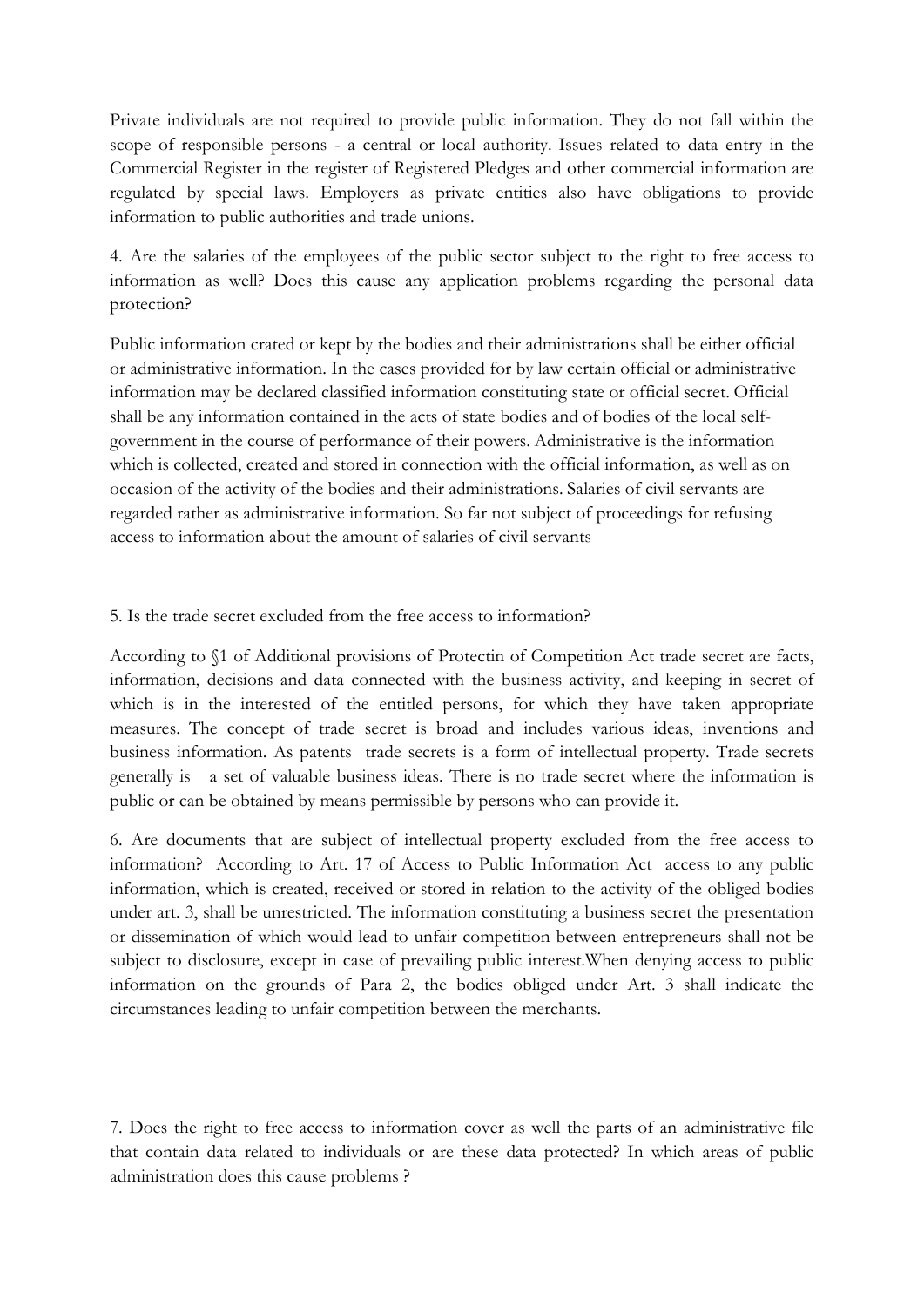Private individuals are not required to provide public information. They do not fall within the scope of responsible persons - a central or local authority. Issues related to data entry in the Commercial Register in the register of Registered Pledges and other commercial information are regulated by special laws. Employers as private entities also have obligations to provide information to public authorities and trade unions.

4. Are the salaries of the employees of the public sector subject to the right to free access to information as well? Does this cause any application problems regarding the personal data protection?

Public information crated or kept by the bodies and their administrations shall be either official or administrative information. In the cases provided for by law certain official or administrative information may be declared classified information constituting state or official secret. Official shall be any information contained in the acts of state bodies and of bodies of the local selfgovernment in the course of performance of their powers. Administrative is the information which is collected, created and stored in connection with the official information, as well as on occasion of the activity of the bodies and their administrations. Salaries of civil servants are regarded rather as administrative information. So far not subject of proceedings for refusing access to information about the amount of salaries of civil servants

### 5. Is the trade secret excluded from the free access to information?

According to §1 of Additional provisions of Protectin of Competition Act trade secret are facts, information, decisions and data connected with the business activity, and keeping in secret of which is in the interested of the entitled persons, for which they have taken appropriate measures. The concept of trade secret is broad and includes various ideas, inventions and business information. As patents trade secrets is a form of intellectual property. Trade secrets generally is a set of valuable business ideas. There is no trade secret where the information is public or can be obtained by means permissible by persons who can provide it.

6. Are documents that are subject of intellectual property excluded from the free access to information? According to Art. 17 of Access to Public Information Act access to any public information, which is created, received or stored in relation to the activity of the obliged bodies under art. 3, shall be unrestricted. The information constituting a business secret the presentation or dissemination of which would lead to unfair competition between entrepreneurs shall not be subject to disclosure, except in case of prevailing public interest.When denying access to public information on the grounds of Para 2, the bodies obliged under Art. 3 shall indicate the circumstances leading to unfair competition between the merchants.

7. Does the right to free access to information cover as well the parts of an administrative file that contain data related to individuals or are these data protected? In which areas of public administration does this cause problems ?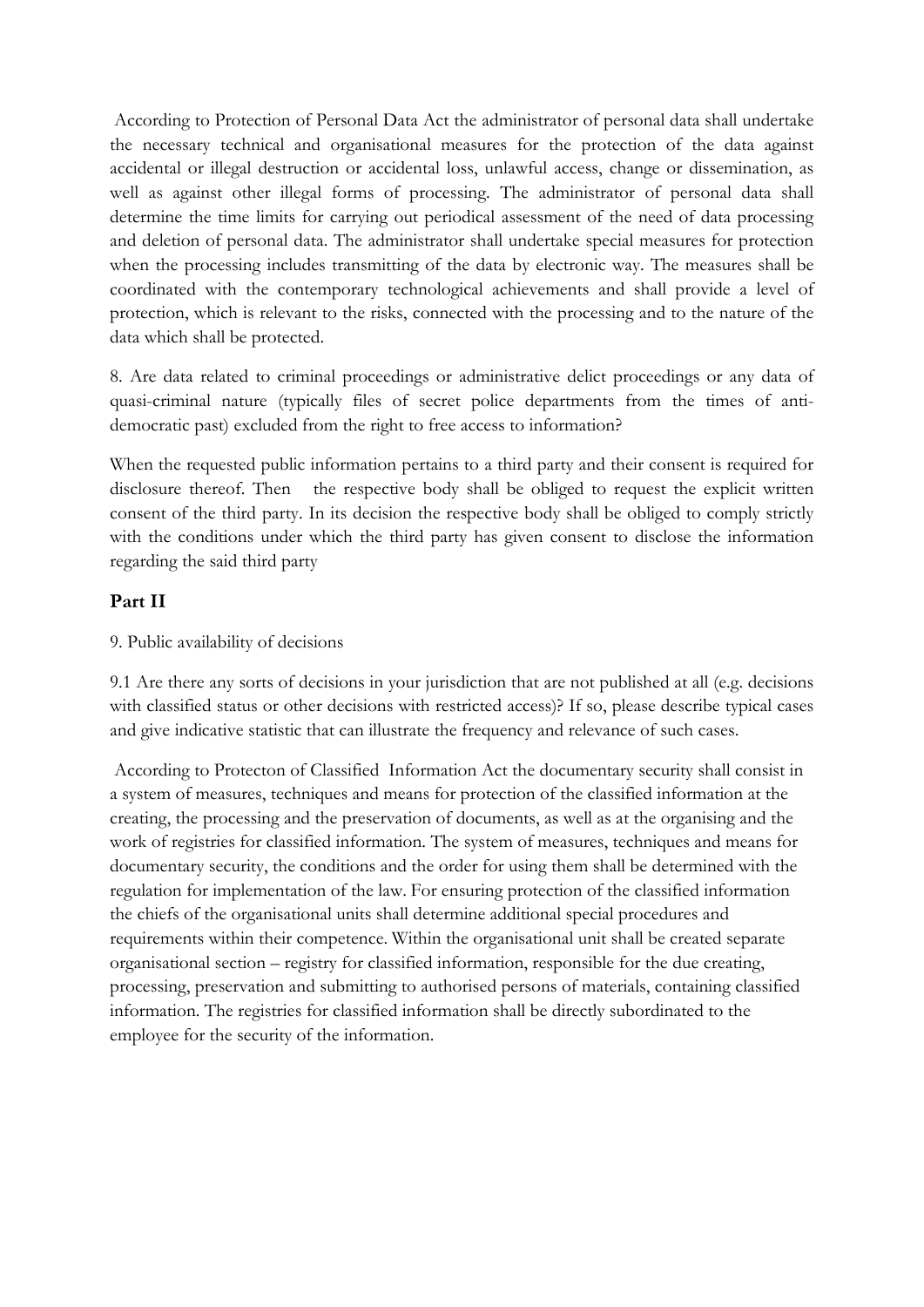According to Protection of Personal Data Act the administrator of personal data shall undertake the necessary technical and organisational measures for the protection of the data against accidental or illegal destruction or accidental loss, unlawful access, change or dissemination, as well as against other illegal forms of processing. The administrator of personal data shall determine the time limits for carrying out periodical assessment of the need of data processing and deletion of personal data. The administrator shall undertake special measures for protection when the processing includes transmitting of the data by electronic way. The measures shall be coordinated with the contemporary technological achievements and shall provide a level of protection, which is relevant to the risks, connected with the processing and to the nature of the data which shall be protected.

8. Are data related to criminal proceedings or administrative delict proceedings or any data of quasi-criminal nature (typically files of secret police departments from the times of antidemocratic past) excluded from the right to free access to information?

When the requested public information pertains to a third party and their consent is required for disclosure thereof. Then the respective body shall be obliged to request the explicit written consent of the third party. In its decision the respective body shall be obliged to comply strictly with the conditions under which the third party has given consent to disclose the information regarding the said third party

## **Part II**

## 9. Public availability of decisions

9.1 Are there any sorts of decisions in your jurisdiction that are not published at all (e.g. decisions with classified status or other decisions with restricted access)? If so, please describe typical cases and give indicative statistic that can illustrate the frequency and relevance of such cases.

According to Protecton of Classified Information Act the documentary security shall consist in a system of measures, techniques and means for protection of the classified information at the creating, the processing and the preservation of documents, as well as at the organising and the work of registries for classified information. The system of measures, techniques and means for documentary security, the conditions and the order for using them shall be determined with the regulation for implementation of the law. For ensuring protection of the classified information the chiefs of the organisational units shall determine additional special procedures and requirements within their competence. Within the organisational unit shall be created separate organisational section – registry for classified information, responsible for the due creating, processing, preservation and submitting to authorised persons of materials, containing classified information. The registries for classified information shall be directly subordinated to the employee for the security of the information.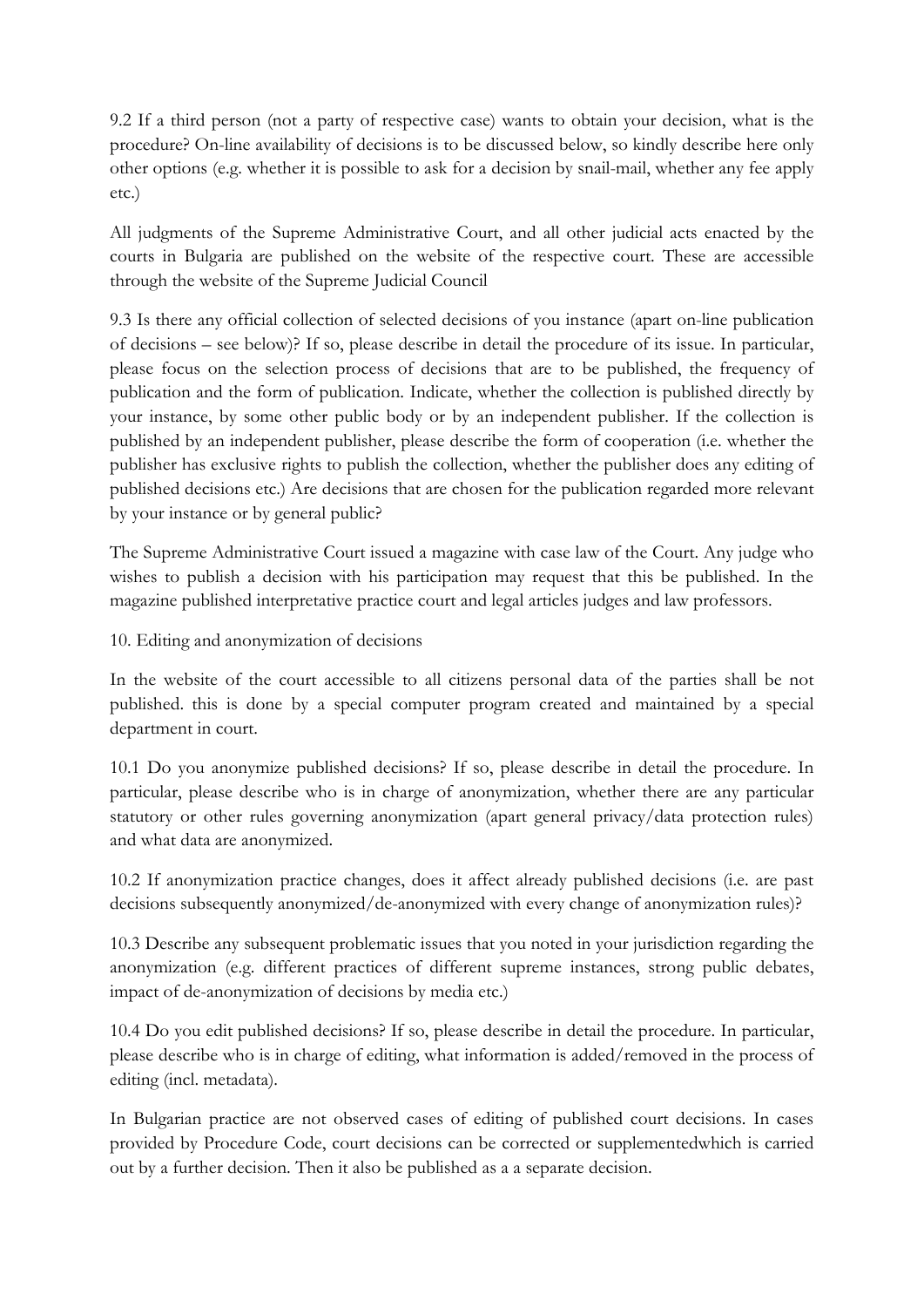9.2 If a third person (not a party of respective case) wants to obtain your decision, what is the procedure? On-line availability of decisions is to be discussed below, so kindly describe here only other options (e.g. whether it is possible to ask for a decision by snail-mail, whether any fee apply etc.)

All judgments of the Supreme Administrative Court, and all other judicial acts enacted by the courts in Bulgaria are published on the website of the respective court. These are accessible through the website of the Supreme Judicial Council

9.3 Is there any official collection of selected decisions of you instance (apart on-line publication of decisions – see below)? If so, please describe in detail the procedure of its issue. In particular, please focus on the selection process of decisions that are to be published, the frequency of publication and the form of publication. Indicate, whether the collection is published directly by your instance, by some other public body or by an independent publisher. If the collection is published by an independent publisher, please describe the form of cooperation (i.e. whether the publisher has exclusive rights to publish the collection, whether the publisher does any editing of published decisions etc.) Are decisions that are chosen for the publication regarded more relevant by your instance or by general public?

The Supreme Administrative Court issued a magazine with case law of the Court. Any judge who wishes to publish a decision with his participation may request that this be published. In the magazine published interpretative practice court and legal articles judges and law professors.

10. Editing and anonymization of decisions

In the website of the court accessible to all citizens personal data of the parties shall be not published. this is done by a special computer program created and maintained by a special department in court.

10.1 Do you anonymize published decisions? If so, please describe in detail the procedure. In particular, please describe who is in charge of anonymization, whether there are any particular statutory or other rules governing anonymization (apart general privacy/data protection rules) and what data are anonymized.

10.2 If anonymization practice changes, does it affect already published decisions (i.e. are past decisions subsequently anonymized/de-anonymized with every change of anonymization rules)?

10.3 Describe any subsequent problematic issues that you noted in your jurisdiction regarding the anonymization (e.g. different practices of different supreme instances, strong public debates, impact of de-anonymization of decisions by media etc.)

10.4 Do you edit published decisions? If so, please describe in detail the procedure. In particular, please describe who is in charge of editing, what information is added/removed in the process of editing (incl. metadata).

In Bulgarian practice are not observed cases of editing of published court decisions. In cases provided by Procedure Code, court decisions can be corrected or supplementedwhich is carried out by a further decision. Then it also be published as a a separate decision.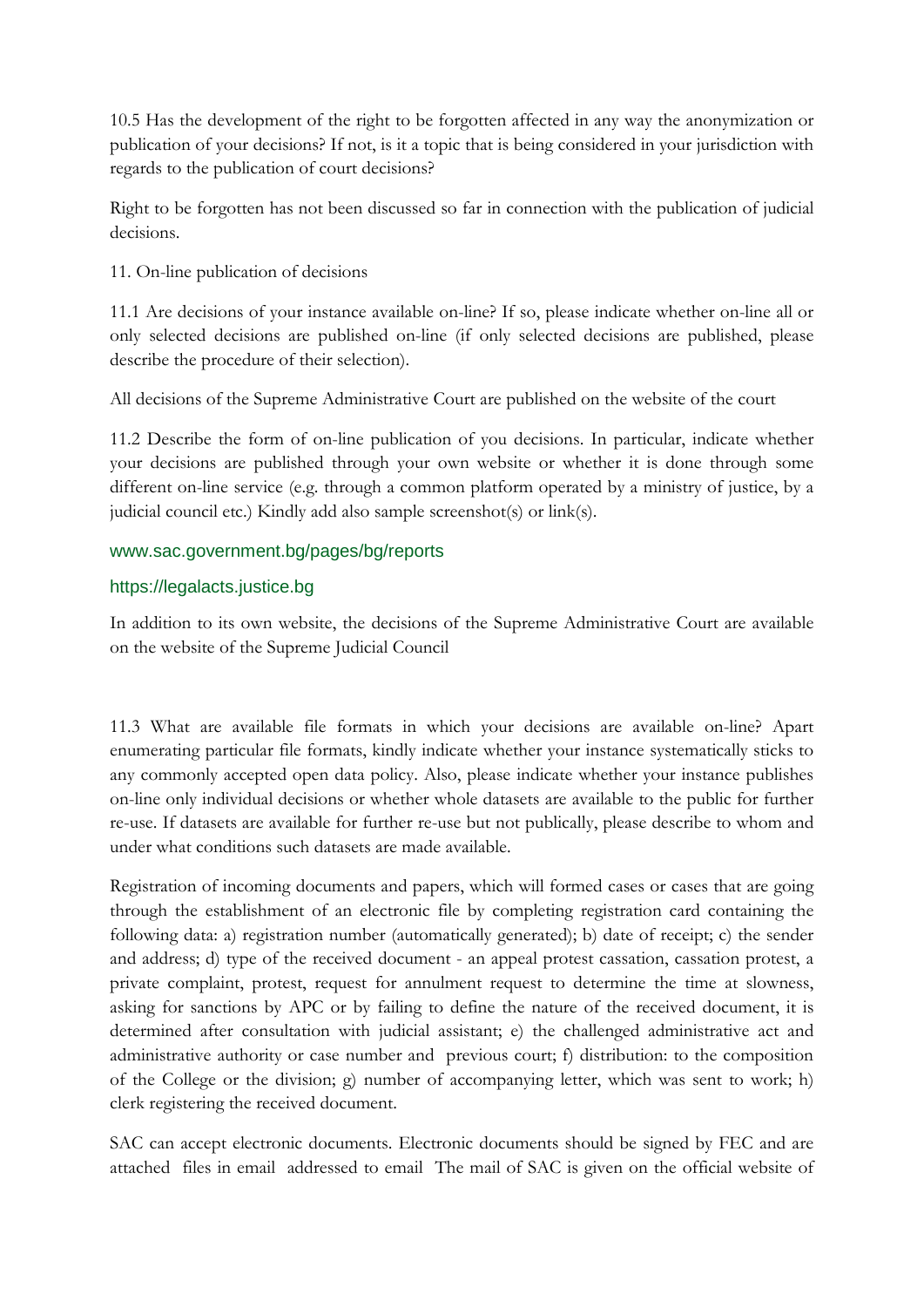10.5 Has the development of the right to be forgotten affected in any way the anonymization or publication of your decisions? If not, is it a topic that is being considered in your jurisdiction with regards to the publication of court decisions?

Right to be forgotten has not been discussed so far in connection with the publication of judicial decisions.

11. On-line publication of decisions

11.1 Are decisions of your instance available on-line? If so, please indicate whether on-line all or only selected decisions are published on-line (if only selected decisions are published, please describe the procedure of their selection).

All decisions of the Supreme Administrative Court are published on the website of the court

11.2 Describe the form of on-line publication of you decisions. In particular, indicate whether your decisions are published through your own website or whether it is done through some different on-line service (e.g. through a common platform operated by a ministry of justice, by a judicial council etc.) Kindly add also sample screenshot(s) or link(s).

### www.sac.government.bg/pages/bg/reports

### https://legalacts.justice.bg

In addition to its own website, the decisions of the Supreme Administrative Court are available on the website of the Supreme Judicial Council

11.3 What are available file formats in which your decisions are available on-line? Apart enumerating particular file formats, kindly indicate whether your instance systematically sticks to any commonly accepted open data policy. Also, please indicate whether your instance publishes on-line only individual decisions or whether whole datasets are available to the public for further re-use. If datasets are available for further re-use but not publically, please describe to whom and under what conditions such datasets are made available.

Registration of incoming documents and papers, which will formed cases or cases that are going through the establishment of an electronic file by completing registration card containing the following data: a) registration number (automatically generated); b) date of receipt; c) the sender and address; d) type of the received document - an appeal protest cassation, cassation protest, a private complaint, protest, request for annulment request to determine the time at slowness, asking for sanctions by APC or by failing to define the nature of the received document, it is determined after consultation with judicial assistant; e) the challenged administrative act and administrative authority or case number and previous court; f) distribution: to the composition of the College or the division; g) number of accompanying letter, which was sent to work; h) clerk registering the received document.

SAC can accept electronic documents. Electronic documents should be signed by FEC and are attached files in email addressed to email The mail of SAC is given on the official website of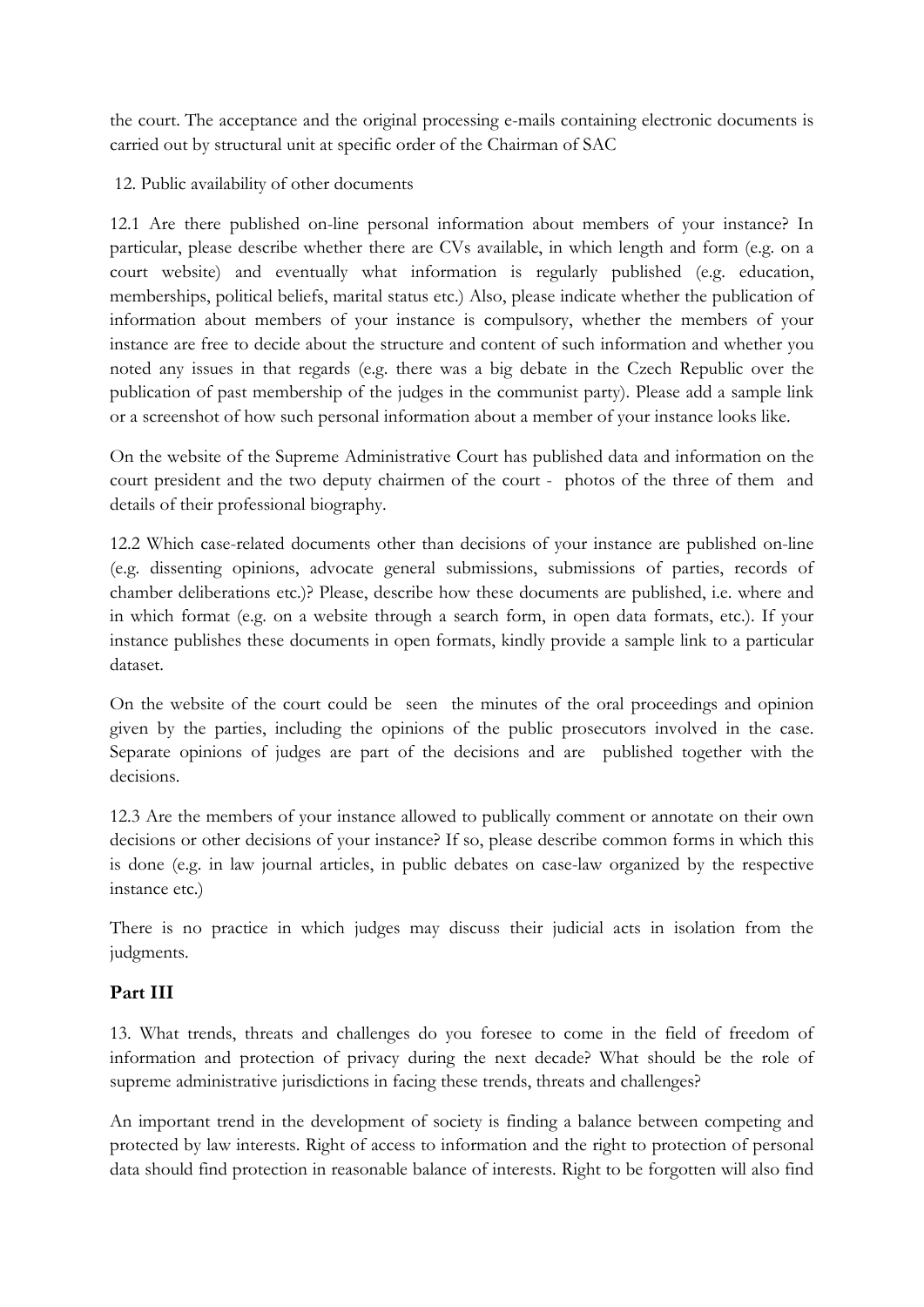the court. The acceptance and the original processing e-mails containing electronic documents is carried out by structural unit at specific order of the Chairman of SAC

12. Public availability of other documents

12.1 Are there published on-line personal information about members of your instance? In particular, please describe whether there are CVs available, in which length and form (e.g. on a court website) and eventually what information is regularly published (e.g. education, memberships, political beliefs, marital status etc.) Also, please indicate whether the publication of information about members of your instance is compulsory, whether the members of your instance are free to decide about the structure and content of such information and whether you noted any issues in that regards (e.g. there was a big debate in the Czech Republic over the publication of past membership of the judges in the communist party). Please add a sample link or a screenshot of how such personal information about a member of your instance looks like.

On the website of the Supreme Administrative Court has published data and information on the court president and the two deputy chairmen of the court - photos of the three of them and details of their professional biography.

12.2 Which case-related documents other than decisions of your instance are published on-line (e.g. dissenting opinions, advocate general submissions, submissions of parties, records of chamber deliberations etc.)? Please, describe how these documents are published, i.e. where and in which format (e.g. on a website through a search form, in open data formats, etc.). If your instance publishes these documents in open formats, kindly provide a sample link to a particular dataset.

On the website of the court could be seen the minutes of the oral proceedings and opinion given by the parties, including the opinions of the public prosecutors involved in the case. Separate opinions of judges are part of the decisions and are published together with the decisions.

12.3 Are the members of your instance allowed to publically comment or annotate on their own decisions or other decisions of your instance? If so, please describe common forms in which this is done (e.g. in law journal articles, in public debates on case-law organized by the respective instance etc.)

There is no practice in which judges may discuss their judicial acts in isolation from the judgments.

## **Part III**

13. What trends, threats and challenges do you foresee to come in the field of freedom of information and protection of privacy during the next decade? What should be the role of supreme administrative jurisdictions in facing these trends, threats and challenges?

An important trend in the development of society is finding a balance between competing and protected by law interests. Right of access to information and the right to protection of personal data should find protection in reasonable balance of interests. Right to be forgotten will also find